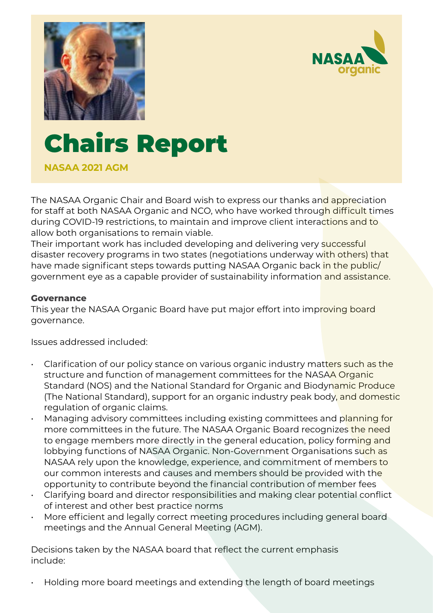



# Chairs Report

**NASAA 2021 AGM**

The NASAA Organic Chair and Board wish to express our thanks and appreciation for staff at both NASAA Organic and NCO, who have worked through difficult times during COVID-19 restrictions, to maintain and improve client interactions and to allow both organisations to remain viable.

Their important work has included developing and delivering very successful disaster recovery programs in two states (negotiations underway with others) that have made significant steps towards putting NASAA Organic back in the public/ government eye as a capable provider of sustainability information and assistance.

#### **Governance**

This year the NASAA Organic Board have put major effort into improving board governance.

Issues addressed included:

- $\cdot$  Clarification of our policy stance on various organic industry matters such as the structure and function of management committees for the NASAA Organic Standard (NOS) and the National Standard for Organic and Biodynamic Produce (The National Standard), support for an organic industry peak body, and domestic regulation of organic claims.
- Managing advisory committees including existing committees and planning for more committees in the future. The NASAA Organic Board recognizes the need to engage members more directly in the general education, policy forming and lobbying functions of NASAA Organic. Non-Government Organisations such as NASAA rely upon the knowledge, experience, and commitment of members to our common interests and causes and members should be provided with the opportunity to contribute beyond the financial contribution of member fees
- Clarifying board and director responsibilities and making clear potential conflict of interest and other best practice norms
- More efficient and legally correct meeting procedures including general board meetings and the Annual General Meeting (AGM).

Decisions taken by the NASAA board that reflect the current emphasis include:

• Holding more board meetings and extending the length of board meetings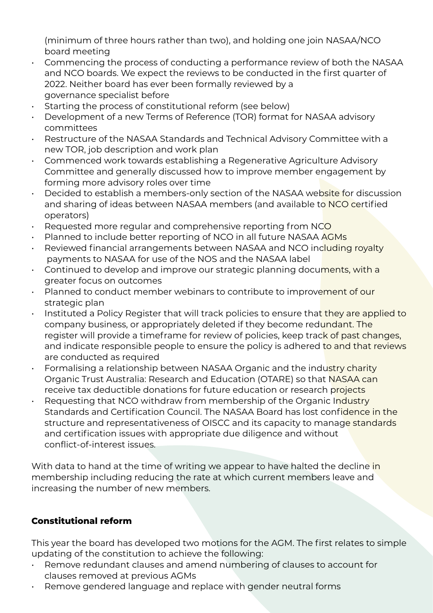(minimum of three hours rather than two), and holding one join NASAA/NCO board meeting

- Commencing the process of conducting a performance review of both the NASAA and NCO boards. We expect the reviews to be conducted in the first quarter of 2022. Neither board has ever been formally reviewed by a governance specialist before
- Starting the process of constitutional reform (see below)
- Development of a new Terms of Reference (TOR) format for NASAA advisory committees
- Restructure of the NASAA Standards and Technical Advisory Committee with a new TOR, job description and work plan
- Commenced work towards establishing a Regenerative Agriculture Advisory Committee and generally discussed how to improve member engagement by forming more advisory roles over time
- Decided to establish a members-only section of the NASAA website for discussion and sharing of ideas between NASAA members (and available to NCO certified operators)
- $\cdot$  Requested more regular and comprehensive reporting from NCO
- Planned to include better reporting of NCO in all future NASAA AGMs
- Reviewed financial arrangements between NASAA and NCO including royalty payments to NASAA for use of the NOS and the NASAA label
- Continued to develop and improve our strategic planning documents, with a greater focus on outcomes
- Planned to conduct member webinars to contribute to improvement of our strategic plan
- Instituted a Policy Register that will track policies to ensure that they are applied to company business, or appropriately deleted if they become redundant. The register will provide a timeframe for review of policies, keep track of past changes, and indicate responsible people to ensure the policy is adhered to and that reviews are conducted as required
- Formalising a relationship between NASAA Organic and the industry charity Organic Trust Australia: Research and Education (OTARE) so that NASAA can receive tax deductible donations for future education or research projects
- Requesting that NCO withdraw from membership of the Organic Industry Standards and Certification Council. The NASAA Board has lost confidence in the structure and representativeness of OISCC and its capacity to manage standards and certification issues with appropriate due diligence and without conflict-of-interest issues.

With data to hand at the time of writing we appear to have halted the decline in membership including reducing the rate at which current members leave and increasing the number of new members.

## **Constitutional reform**

This year the board has developed two motions for the AGM. The first relates to simple updating of the constitution to achieve the following:

- Remove redundant clauses and amend numbering of clauses to account for clauses removed at previous AGMs
- Remove gendered language and replace with gender neutral forms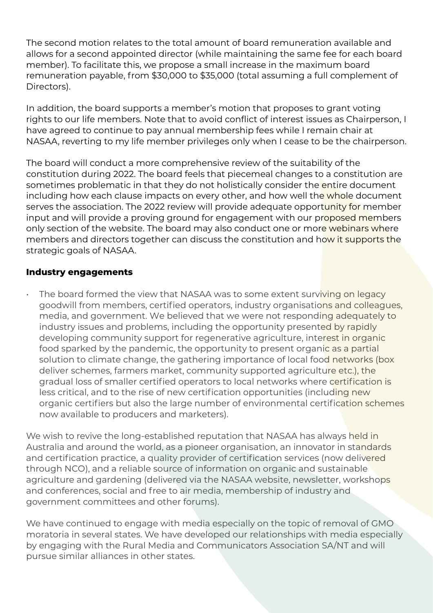The second motion relates to the total amount of board remuneration available and allows for a second appointed director (while maintaining the same fee for each board member). To facilitate this, we propose a small increase in the maximum board remuneration payable, from \$30,000 to \$35,000 (total assuming a full complement of Directors).

In addition, the board supports a member's motion that proposes to grant voting rights to our life members. Note that to avoid conflict of interest issues as Chairperson, I have agreed to continue to pay annual membership fees while I remain chair at NASAA, reverting to my life member privileges only when I cease to be the chairperson.

The board will conduct a more comprehensive review of the suitability of the constitution during 2022. The board feels that piecemeal changes to a constitution are sometimes problematic in that they do not holistically consider the entire document including how each clause impacts on every other, and how well the whole document serves the association. The 2022 review will provide adequate opportunity for member input and will provide a proving ground for engagement with our proposed members only section of the website. The board may also conduct one or more webinars where members and directors together can discuss the constitution and how it supports the strategic goals of NASAA.

#### **Industry engagements**

The board formed the view that NASAA was to some extent surviving on legacy goodwill from members, certified operators, industry organisations and colleagues, media, and government. We believed that we were not responding adequately to industry issues and problems, including the opportunity presented by rapidly developing community support for regenerative agriculture, interest in organic food sparked by the pandemic, the opportunity to present organic as a partial solution to climate change, the gathering importance of local food networks (box deliver schemes, farmers market, community supported agriculture etc.), the gradual loss of smaller certified operators to local networks where certification is less critical, and to the rise of new certification opportunities (including new organic certifiers but also the large number of environmental certification schemes now available to producers and marketers).

We wish to revive the long-established reputation that NASAA has always held in Australia and around the world, as a pioneer organisation, an innovator in standards and certification practice, a quality provider of certification services (now delivered through NCO), and a reliable source of information on organic and sustainable agriculture and gardening (delivered via the NASAA website, newsletter, workshops and conferences, social and free to air media, membership of industry and government committees and other forums).

We have continued to engage with media especially on the topic of removal of GMO moratoria in several states. We have developed our relationships with media especially by engaging with the Rural Media and Communicators Association SA/NT and will pursue similar alliances in other states.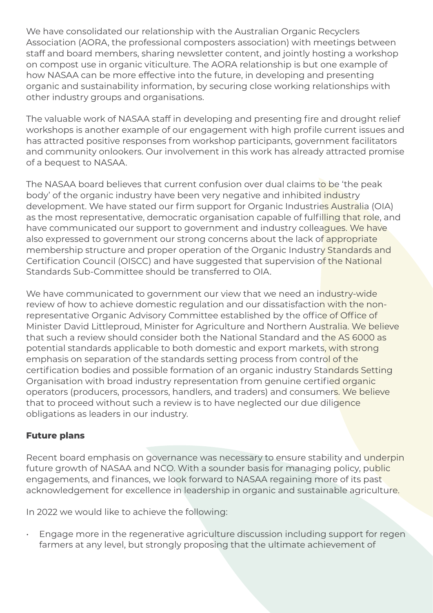We have consolidated our relationship with the Australian Organic Recyclers Association (AORA, the professional composters association) with meetings between staff and board members, sharing newsletter content, and jointly hosting a workshop on compost use in organic viticulture. The AORA relationship is but one example of how NASAA can be more effective into the future, in developing and presenting organic and sustainability information, by securing close working relationships with other industry groups and organisations.

The valuable work of NASAA staff in developing and presenting fire and drought relief workshops is another example of our engagement with high profile current issues and has attracted positive responses from workshop participants, government facilitators and community onlookers. Our involvement in this work has already attracted promise of a bequest to NASAA.

The NASAA board believes that current confusion over dual claims to be 'the peak body' of the organic industry have been very negative and inhibited industry development. We have stated our firm support for Organic Industries Australia (OIA) as the most representative, democratic organisation capable of fulfilling that role, and have communicated our support to government and industry colleagues. We have also expressed to government our strong concerns about the lack of appropriate membership structure and proper operation of the Organic Industry Standards and Certification Council (OISCC) and have suggested that supervision of the National Standards Sub-Committee should be transferred to OIA.

We have communicated to government our view that we need an industry-wide review of how to achieve domestic regulation and our dissatisfaction with the nonrepresentative Organic Advisory Committee established by the office of Office of Minister David Littleproud, Minister for Agriculture and Northern Australia. We believe that such a review should consider both the National Standard and the AS 6000 as potential standards applicable to both domestic and export markets, with strong emphasis on separation of the standards setting process from control of the certification bodies and possible formation of an organic industry Standards Setting Organisation with broad industry representation from genuine certified organic operators (producers, processors, handlers, and traders) and consumers. We believe that to proceed without such a review is to have neglected our due diligence obligations as leaders in our industry.

## **Future plans**

Recent board emphasis on governance was necessary to ensure stability and underpin future growth of NASAA and NCO. With a sounder basis for managing policy, public engagements, and finances, we look forward to NASAA regaining more of its past acknowledgement for excellence in leadership in organic and sustainable agriculture.

In 2022 we would like to achieve the following:

• Engage more in the regenerative agriculture discussion including support for regen farmers at any level, but strongly proposing that the ultimate achievement of